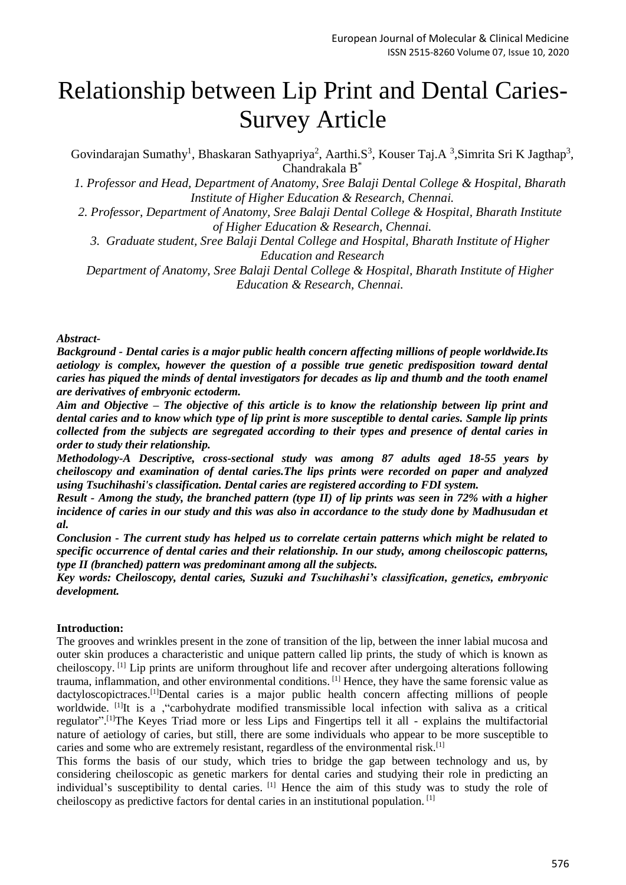# Relationship between Lip Print and Dental Caries-Survey Article

Govindarajan Sumathy<sup>1</sup>, Bhaskaran Sathyapriya<sup>2</sup>, Aarthi.S<sup>3</sup>, Kouser Taj.A<sup>3</sup>, Simrita Sri K Jagthap<sup>3</sup>, Chandrakala B\*

*1. Professor and Head, Department of Anatomy, Sree Balaji Dental College & Hospital, Bharath Institute of Higher Education & Research, Chennai.*

*2. Professor, Department of Anatomy, Sree Balaji Dental College & Hospital, Bharath Institute of Higher Education & Research, Chennai.*

*3. Graduate student, Sree Balaji Dental College and Hospital, Bharath Institute of Higher Education and Research*

*Department of Anatomy, Sree Balaji Dental College & Hospital, Bharath Institute of Higher Education & Research, Chennai.*

#### *Abstract-*

*Background - Dental caries is a major public health concern affecting millions of people worldwide.Its aetiology is complex, however the question of a possible true genetic predisposition toward dental caries has piqued the minds of dental investigators for decades as lip and thumb and the tooth enamel are derivatives of embryonic ectoderm.*

*Aim and Objective – The objective of this article is to know the relationship between lip print and dental caries and to know which type of lip print is more susceptible to dental caries. Sample lip prints collected from the subjects are segregated according to their types and presence of dental caries in order to study their relationship.*

*Methodology-A Descriptive, cross-sectional study was among 87 adults aged 18-55 years by cheiloscopy and examination of dental caries.The lips prints were recorded on paper and analyzed using Tsuchihashi's classification. Dental caries are registered according to FDI system.*

*Result - Among the study, the branched pattern (type II) of lip prints was seen in 72% with a higher*  incidence of caries in our study and this was also in accordance to the study done by Madhusudan et *al.*

*Conclusion - The current study has helped us to correlate certain patterns which might be related to specific occurrence of dental caries and their relationship. In our study, among cheiloscopic patterns, type II (branched) pattern was predominant among all the subjects.*

*Key words: Cheiloscopy, dental caries, Suzuki and Tsuchihashi's classification, genetics, embryonic development.*

## **Introduction:**

The grooves and wrinkles present in the zone of transition of the lip, between the inner labial mucosa and outer skin produces a characteristic and unique pattern called lip prints, the study of which is known as cheiloscopy. [1] Lip prints are uniform throughout life and recover after undergoing alterations following trauma, inflammation, and other environmental conditions. [1] Hence, they have the same forensic value as dactyloscopictraces.[1]Dental caries is a major public health concern affecting millions of people worldwide. <sup>[1]</sup>It is a , "carbohydrate modified transmissible local infection with saliva as a critical regulator".<sup>[1]</sup>The Keyes Triad more or less Lips and Fingertips tell it all - explains the multifactorial nature of aetiology of caries, but still, there are some individuals who appear to be more susceptible to caries and some who are extremely resistant, regardless of the environmental risk.[1]

This forms the basis of our study, which tries to bridge the gap between technology and us, by considering cheiloscopic as genetic markers for dental caries and studying their role in predicting an individual's susceptibility to dental caries. [1] Hence the aim of this study was to study the role of cheiloscopy as predictive factors for dental caries in an institutional population. [1]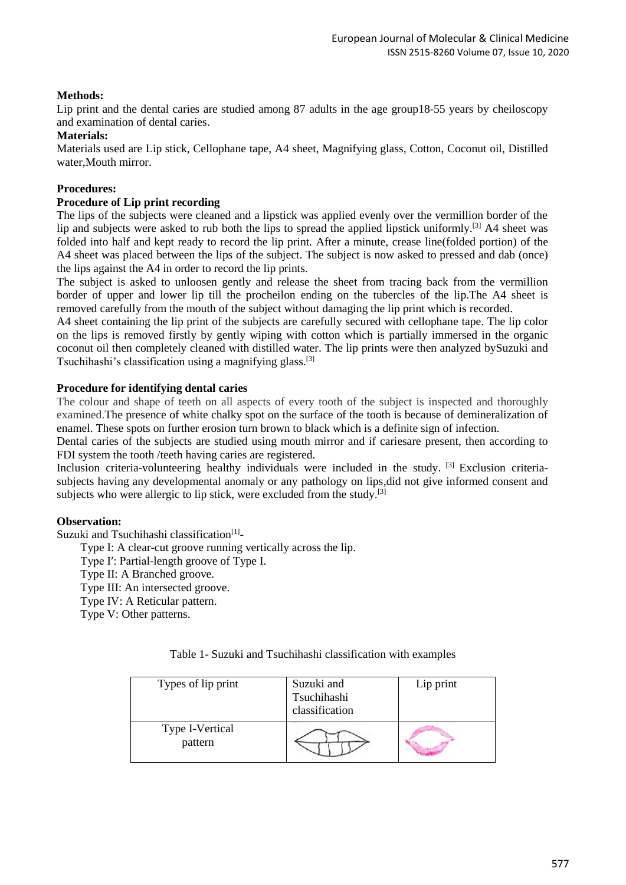## **Methods:**

Lip print and the dental caries are studied among 87 adults in the age group18-55 years by cheiloscopy and examination of dental caries.

#### **Materials:**

Materials used are Lip stick, Cellophane tape, A4 sheet, Magnifying glass, Cotton, Coconut oil, Distilled water,Mouth mirror.

## **Procedures:**

### **Procedure of Lip print recording**

The lips of the subjects were cleaned and a lipstick was applied evenly over the vermillion border of the lip and subjects were asked to rub both the lips to spread the applied lipstick uniformly.[3] A4 sheet was folded into half and kept ready to record the lip print. After a minute, crease line(folded portion) of the A4 sheet was placed between the lips of the subject. The subject is now asked to pressed and dab (once) the lips against the A4 in order to record the lip prints.

The subject is asked to unloosen gently and release the sheet from tracing back from the vermillion border of upper and lower lip till the procheilon ending on the tubercles of the lip.The A4 sheet is removed carefully from the mouth of the subject without damaging the lip print which is recorded.

A4 sheet containing the lip print of the subjects are carefully secured with cellophane tape. The lip color on the lips is removed firstly by gently wiping with cotton which is partially immersed in the organic coconut oil then completely cleaned with distilled water. The lip prints were then analyzed bySuzuki and Tsuchihashi's classification using a magnifying glass.[3]

#### **Procedure for identifying dental caries**

The colour and shape of teeth on all aspects of every tooth of the subject is inspected and thoroughly examined.The presence of white chalky spot on the surface of the tooth is because of demineralization of enamel. These spots on further erosion turn brown to black which is a definite sign of infection.

Dental caries of the subjects are studied using mouth mirror and if cariesare present, then according to FDI system the tooth /teeth having caries are registered.

Inclusion criteria-volunteering healthy individuals were included in the study. [3] Exclusion criteriasubjects having any developmental anomaly or any pathology on lips,did not give informed consent and subjects who were allergic to lip stick, were excluded from the study.<sup>[3]</sup>

## **Observation:**

Suzuki and Tsuchihashi classification<sup>[1]</sup>-

Type I: A clear-cut groove running vertically across the lip.

- Type I′: Partial-length groove of Type I.
- Type II: A Branched groove.

Type III: An intersected groove.

Type IV: A Reticular pattern.

Type V: Other patterns.

Table 1- Suzuki and Tsuchihashi classification with examples

| Types of lip print         | Suzuki and<br>Tsuchihashi<br>classification | Lip print |
|----------------------------|---------------------------------------------|-----------|
| Type I-Vertical<br>pattern |                                             |           |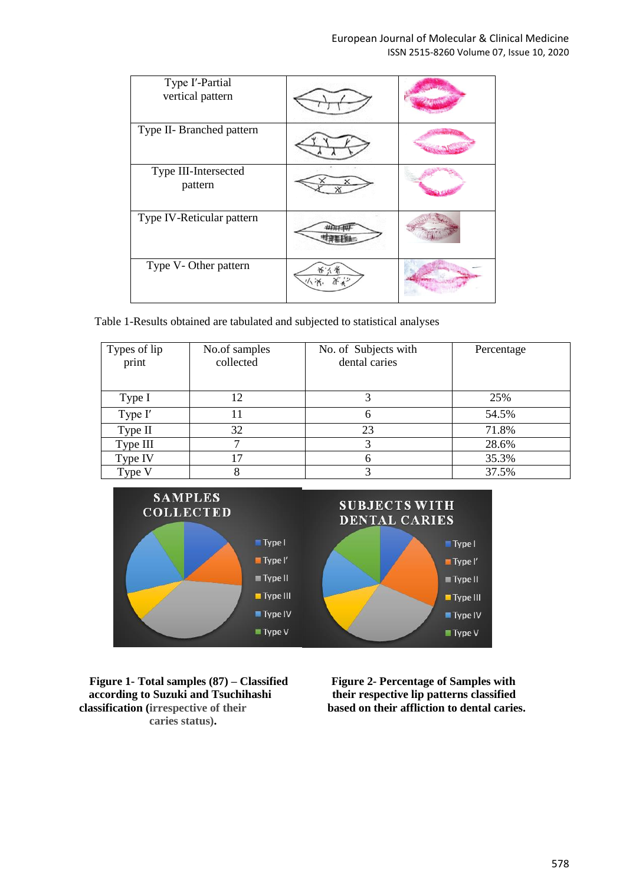| Type I'-Partial<br>vertical pattern |  |
|-------------------------------------|--|
| Type II- Branched pattern           |  |
| Type III-Intersected<br>pattern     |  |
| Type IV-Reticular pattern           |  |
| Type V-Other pattern                |  |

Table 1-Results obtained are tabulated and subjected to statistical analyses

| Types of lip<br>print | No.of samples<br>collected | No. of Subjects with<br>dental caries | Percentage |
|-----------------------|----------------------------|---------------------------------------|------------|
| Type I                | 12                         |                                       | 25%        |
| Type I'               |                            | 6                                     | 54.5%      |
| Type II               | 32                         | 23                                    | 71.8%      |
| Type III              |                            | 3                                     | 28.6%      |
| Type IV               | 7                          | 6                                     | 35.3%      |
| Type V                |                            | 3                                     | 37.5%      |



**Figure 1- Total samples (87) – Classified Figure 2- Percentage of Samples with according to Suzuki and Tsuchihashi their respective lip patterns classified classification** (irrespective of their **based on their affliction to dental caries. caries status).**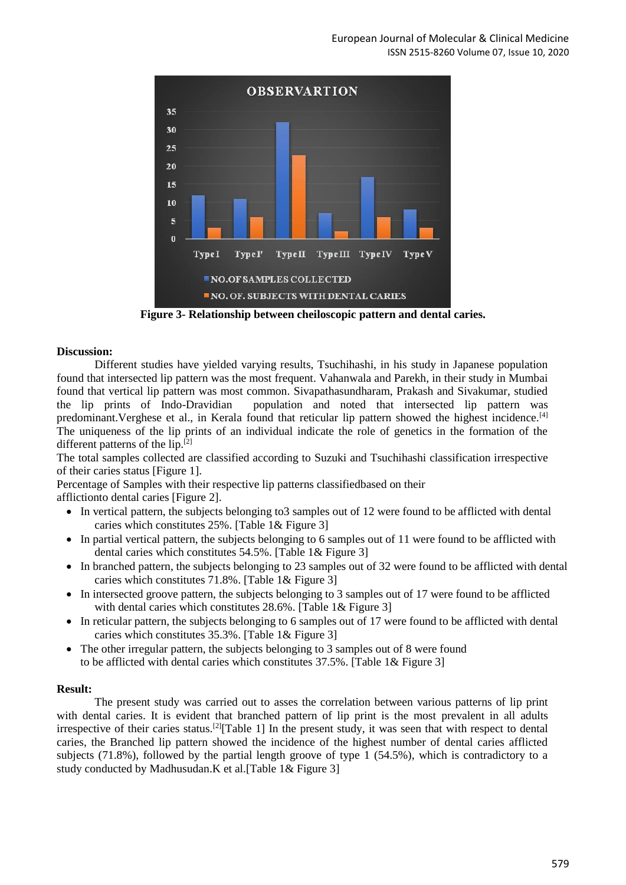

**Figure 3- Relationship between cheiloscopic pattern and dental caries.**

#### **Discussion:**

Different studies have yielded varying results, Tsuchihashi, in his study in Japanese population found that intersected lip pattern was the most frequent. Vahanwala and Parekh, in their study in Mumbai found that vertical lip pattern was most common. Sivapathasundharam, Prakash and Sivakumar, studied the lip prints of Indo-Dravidian population and noted that intersected lip pattern was predominant.Verghese et al., in Kerala found that reticular lip pattern showed the highest incidence.[4] The uniqueness of the lip prints of an individual indicate the role of genetics in the formation of the different patterns of the  $lip$ .<sup>[2]</sup>

The total samples collected are classified according to Suzuki and Tsuchihashi classification irrespective of their caries status [Figure 1].

Percentage of Samples with their respective lip patterns classifiedbased on their afflictionto dental caries [Figure 2].

- In vertical pattern, the subjects belonging to 3 samples out of 12 were found to be afflicted with dental caries which constitutes 25%. [Table 1& Figure 3]
- In partial vertical pattern, the subjects belonging to 6 samples out of 11 were found to be afflicted with dental caries which constitutes 54.5%. [Table 1& Figure 3]
- In branched pattern, the subjects belonging to 23 samples out of 32 were found to be afflicted with dental caries which constitutes 71.8%. [Table 1& Figure 3]
- In intersected groove pattern, the subjects belonging to 3 samples out of 17 were found to be afflicted with dental caries which constitutes 28.6%. [Table 1& Figure 3]
- In reticular pattern, the subjects belonging to 6 samples out of 17 were found to be afflicted with dental caries which constitutes 35.3%. [Table 1& Figure 3]
- The other irregular pattern, the subjects belonging to 3 samples out of 8 were found to be afflicted with dental caries which constitutes 37.5%. [Table 1& Figure 3]

#### **Result:**

The present study was carried out to asses the correlation between various patterns of lip print with dental caries. It is evident that branched pattern of lip print is the most prevalent in all adults irrespective of their caries status.<sup>[2]</sup>[Table 1] In the present study, it was seen that with respect to dental caries, the Branched lip pattern showed the incidence of the highest number of dental caries afflicted subjects (71.8%), followed by the partial length groove of type  $1$  (54.5%), which is contradictory to a study conducted by Madhusudan.K et al.[Table 1& Figure 3]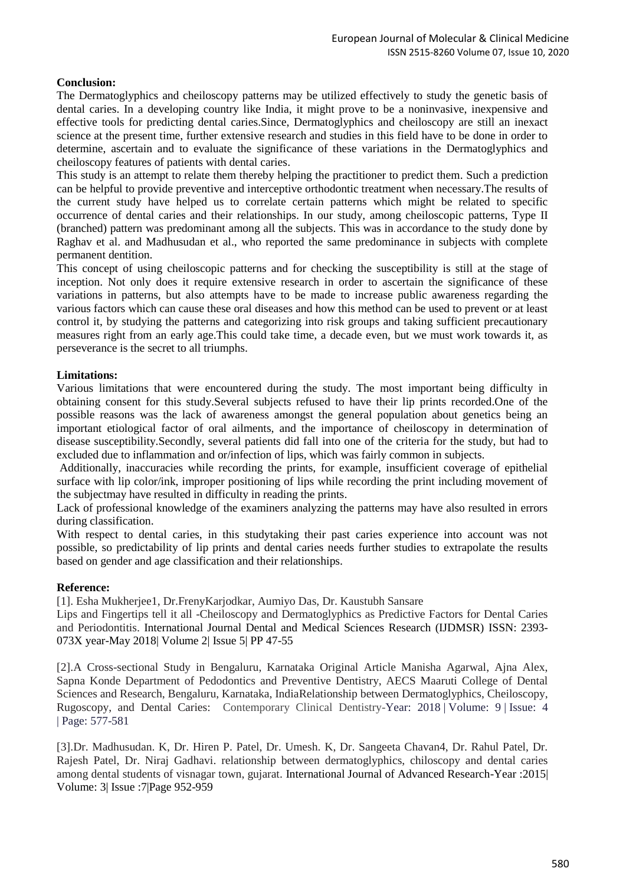## **Conclusion:**

The Dermatoglyphics and cheiloscopy patterns may be utilized effectively to study the genetic basis of dental caries. In a developing country like India, it might prove to be a noninvasive, inexpensive and effective tools for predicting dental caries.Since, Dermatoglyphics and cheiloscopy are still an inexact science at the present time, further extensive research and studies in this field have to be done in order to determine, ascertain and to evaluate the significance of these variations in the Dermatoglyphics and cheiloscopy features of patients with dental caries.

This study is an attempt to relate them thereby helping the practitioner to predict them. Such a prediction can be helpful to provide preventive and interceptive orthodontic treatment when necessary.The results of the current study have helped us to correlate certain patterns which might be related to specific occurrence of dental caries and their relationships. In our study, among cheiloscopic patterns, Type II (branched) pattern was predominant among all the subjects. This was in accordance to the study done by Raghav et al. and Madhusudan et al., who reported the same predominance in subjects with complete permanent dentition.

This concept of using cheiloscopic patterns and for checking the susceptibility is still at the stage of inception. Not only does it require extensive research in order to ascertain the significance of these variations in patterns, but also attempts have to be made to increase public awareness regarding the various factors which can cause these oral diseases and how this method can be used to prevent or at least control it, by studying the patterns and categorizing into risk groups and taking sufficient precautionary measures right from an early age.This could take time, a decade even, but we must work towards it, as perseverance is the secret to all triumphs.

## **Limitations:**

Various limitations that were encountered during the study. The most important being difficulty in obtaining consent for this study.Several subjects refused to have their lip prints recorded.One of the possible reasons was the lack of awareness amongst the general population about genetics being an important etiological factor of oral ailments, and the importance of cheiloscopy in determination of disease susceptibility.Secondly, several patients did fall into one of the criteria for the study, but had to excluded due to inflammation and or/infection of lips, which was fairly common in subjects.

Additionally, inaccuracies while recording the prints, for example, insufficient coverage of epithelial surface with lip color/ink, improper positioning of lips while recording the print including movement of the subjectmay have resulted in difficulty in reading the prints.

Lack of professional knowledge of the examiners analyzing the patterns may have also resulted in errors during classification.

With respect to dental caries, in this studytaking their past caries experience into account was not possible, so predictability of lip prints and dental caries needs further studies to extrapolate the results based on gender and age classification and their relationships.

## **Reference:**

[1]. Esha Mukherjee1, Dr.FrenyKarjodkar, Aumiyo Das, Dr. Kaustubh Sansare

Lips and Fingertips tell it all -Cheiloscopy and Dermatoglyphics as Predictive Factors for Dental Caries and Periodontitis. International Journal Dental and Medical Sciences Research (IJDMSR) ISSN: 2393- 073X year-May 2018| Volume 2| Issue 5| PP 47-55

[2].A Cross-sectional Study in Bengaluru, Karnataka Original Article Manisha Agarwal, Ajna Alex, Sapna Konde Department of Pedodontics and Preventive Dentistry, AECS Maaruti College of Dental Sciences and Research, Bengaluru, Karnataka, IndiaRelationship between Dermatoglyphics, Cheiloscopy, Rugoscopy, and Dental Caries: Contemporary Clinical Dentistry-Year: 2018 | Volume: 9 | Issue: 4 | Page: 577-581

[3].Dr. Madhusudan. K, Dr. Hiren P. Patel, Dr. Umesh. K, Dr. Sangeeta Chavan4, Dr. Rahul Patel, Dr. Rajesh Patel, Dr. Niraj Gadhavi. relationship between dermatoglyphics, chiloscopy and dental caries among dental students of visnagar town, gujarat. International Journal of Advanced Research-Year :2015| Volume: 3| Issue :7|Page 952-959